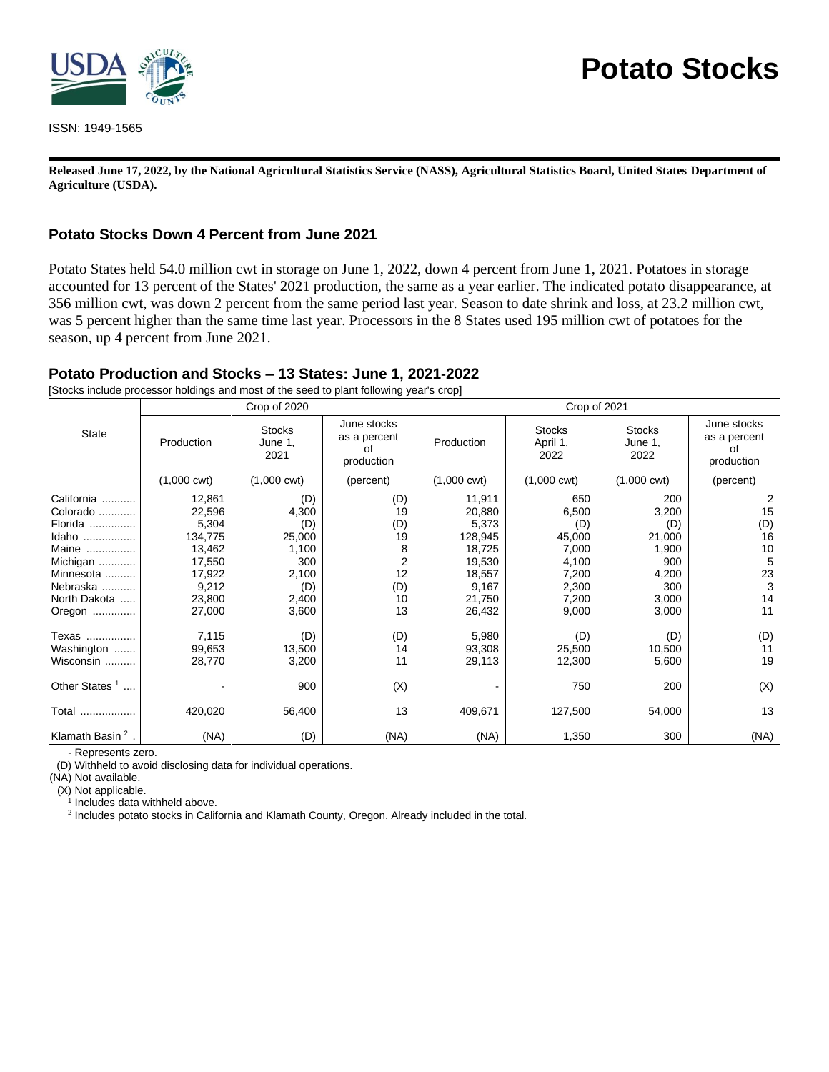

ISSN: 1949-1565

# **Potato Stocks**

**Released June 17, 2022, by the National Agricultural Statistics Service (NASS), Agricultural Statistics Board, United States Department of Agriculture (USDA).**

## **Potato Stocks Down 4 Percent from June 2021**

Potato States held 54.0 million cwt in storage on June 1, 2022, down 4 percent from June 1, 2021. Potatoes in storage accounted for 13 percent of the States' 2021 production, the same as a year earlier. The indicated potato disappearance, at 356 million cwt, was down 2 percent from the same period last year. Season to date shrink and loss, at 23.2 million cwt, was 5 percent higher than the same time last year. Processors in the 8 States used 195 million cwt of potatoes for the season, up 4 percent from June 2021.

# **Potato Production and Stocks – 13 States: June 1, 2021-2022**

[Stocks include processor holdings and most of the seed to plant following year's crop]

|                                                                                                                    |                                                                                                 | Crop of 2020                                                                    |                                                                        | Crop of 2021                                                                                    |                                                                                     |                                                                                 |                                                        |  |
|--------------------------------------------------------------------------------------------------------------------|-------------------------------------------------------------------------------------------------|---------------------------------------------------------------------------------|------------------------------------------------------------------------|-------------------------------------------------------------------------------------------------|-------------------------------------------------------------------------------------|---------------------------------------------------------------------------------|--------------------------------------------------------|--|
| State                                                                                                              | Production                                                                                      | <b>Stocks</b><br>June 1,<br>2021                                                | June stocks<br>as a percent<br>of<br>production                        | Production                                                                                      | <b>Stocks</b><br>April 1,<br>2022                                                   | <b>Stocks</b><br>June 1,<br>2022                                                | June stocks<br>as a percent<br>of<br>production        |  |
|                                                                                                                    | $(1,000 \text{ cwt})$                                                                           | $(1,000 \text{ cwt})$                                                           | (percent)                                                              | $(1,000 \text{ cwt})$                                                                           | $(1,000 \text{ cwt})$                                                               | $(1,000 \text{ cwt})$                                                           | (percent)                                              |  |
| California<br>Colorado<br>Florida<br>Idaho<br>Maine<br>Michigan<br>Minnesota<br>Nebraska<br>North Dakota<br>Oregon | 12,861<br>22,596<br>5,304<br>134,775<br>13,462<br>17,550<br>17,922<br>9,212<br>23,800<br>27,000 | (D)<br>4,300<br>(D)<br>25,000<br>1,100<br>300<br>2,100<br>(D)<br>2,400<br>3,600 | (D)<br>19<br>(D)<br>19<br>8<br>$\overline{2}$<br>12<br>(D)<br>10<br>13 | 11,911<br>20,880<br>5,373<br>128,945<br>18,725<br>19,530<br>18,557<br>9,167<br>21,750<br>26,432 | 650<br>6,500<br>(D)<br>45,000<br>7,000<br>4,100<br>7,200<br>2,300<br>7,200<br>9,000 | 200<br>3,200<br>(D)<br>21,000<br>1,900<br>900<br>4,200<br>300<br>3,000<br>3,000 | 2<br>15<br>(D)<br>16<br>10<br>5<br>23<br>3<br>14<br>11 |  |
| Texas<br>Washington<br>Wisconsin<br>Other States <sup>1</sup><br>Total                                             | 7,115<br>99,653<br>28,770<br>420,020                                                            | (D)<br>13,500<br>3,200<br>900<br>56,400                                         | (D)<br>14<br>11<br>(X)<br>13                                           | 5,980<br>93,308<br>29,113<br>409,671                                                            | (D)<br>25,500<br>12,300<br>750<br>127,500                                           | (D)<br>10,500<br>5,600<br>200<br>54,000                                         | (D)<br>11<br>19<br>(X)<br>13                           |  |
| Klamath Basin <sup>2</sup>                                                                                         | (NA)                                                                                            | (D)                                                                             | (NA)                                                                   | (NA)                                                                                            | 1,350                                                                               | 300                                                                             | (NA)                                                   |  |

- Represents zero.

(D) Withheld to avoid disclosing data for individual operations.

(NA) Not available.

(X) Not applicable.

<sup>1</sup> Includes data withheld above.

<sup>2</sup> Includes potato stocks in California and Klamath County, Oregon. Already included in the total.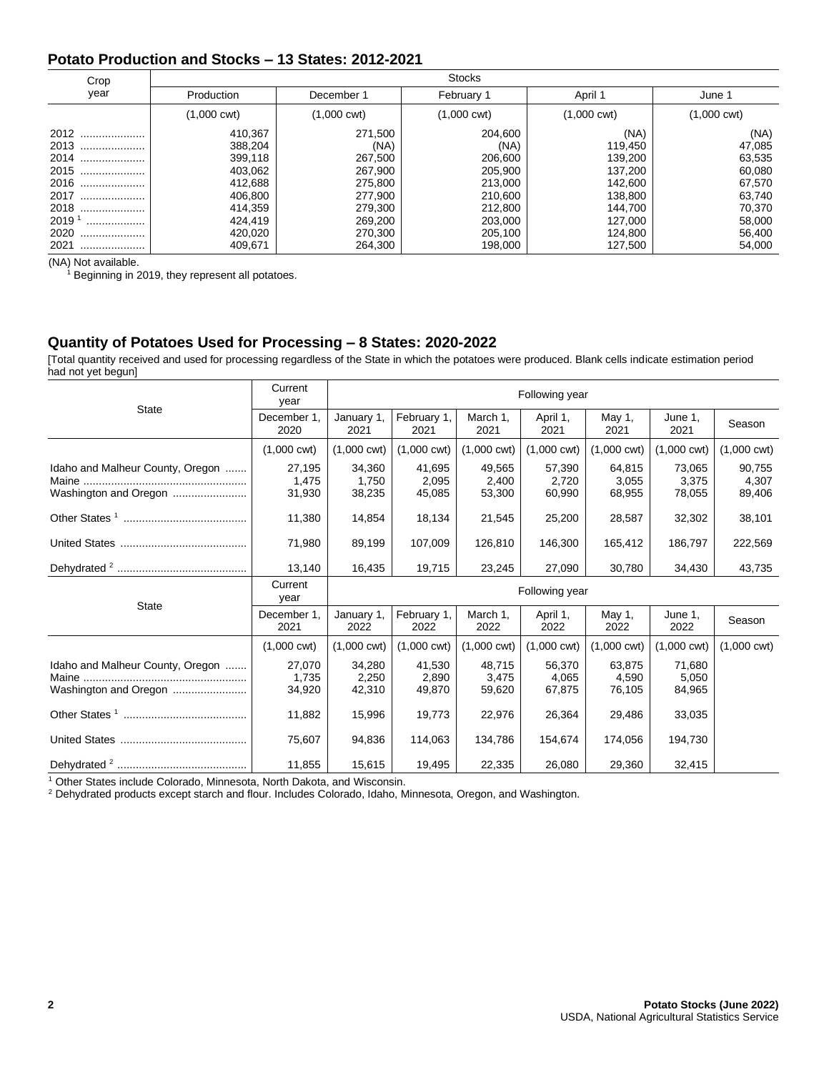## **Potato Production and Stocks – 13 States: 2012-2021**

| Crop                | <b>Stocks</b>         |                       |                       |                       |                       |  |  |  |  |
|---------------------|-----------------------|-----------------------|-----------------------|-----------------------|-----------------------|--|--|--|--|
| year                | Production            | December 1            | February 1            | April 1               | June 1                |  |  |  |  |
|                     | $(1,000 \text{ cwt})$ | $(1,000 \text{ cwt})$ | $(1,000 \text{ cwt})$ | $(1,000 \text{ cwt})$ | $(1,000 \text{ cwt})$ |  |  |  |  |
| 2012                | 410,367               | 271,500               | 204,600               | (NA)                  | (NA)                  |  |  |  |  |
| 2013                | 388,204               | (NA)                  | (NA)                  | 119,450               | 47,085                |  |  |  |  |
| 2014                | 399,118               | 267,500               | 206,600               | 139,200               | 63,535                |  |  |  |  |
| 2015                | 403,062               | 267,900               | 205,900               | 137,200               | 60,080                |  |  |  |  |
| 2016                | 412,688               | 275,800               | 213,000               | 142.600               | 67.570                |  |  |  |  |
| 2017                | 406,800               | 277,900               | 210,600               | 138,800               | 63,740                |  |  |  |  |
| 2018                | 414,359               | 279,300               | 212,800               | 144.700               | 70,370                |  |  |  |  |
| $2019$ <sup>1</sup> | 424,419               | 269,200               | 203,000               | 127,000               | 58,000                |  |  |  |  |
| 2020<br>            | 420,020               | 270,300               | 205,100               | 124,800               | 56,400                |  |  |  |  |
| 2021                | 409,671               | 264,300               | 198,000               | 127.500               | 54,000                |  |  |  |  |

(NA) Not available.

 $1$  Beginning in 2019, they represent all potatoes.

#### **Quantity of Potatoes Used for Processing – 8 States: 2020-2022**

[Total quantity received and used for processing regardless of the State in which the potatoes were produced. Blank cells indicate estimation period had not yet begun]

| <b>State</b>                                              | Current<br>year           | Following year            |                           |                           |                           |                           |                           |                           |
|-----------------------------------------------------------|---------------------------|---------------------------|---------------------------|---------------------------|---------------------------|---------------------------|---------------------------|---------------------------|
|                                                           | December 1.<br>2020       | January 1,<br>2021        | February 1,<br>2021       | March 1.<br>2021          | April 1,<br>2021          | May 1,<br>2021            | June 1.<br>2021           | Season                    |
|                                                           | $(1,000 \text{ cwt})$     | $(1,000 \text{ cwt})$     | $(1,000 \text{ cwt})$     | $(1,000 \text{ cwt})$     | $(1,000 \text{ cwt})$     | (1,000 cwt)               | $(1,000 \text{ cwt})$     | $(1,000 \text{ cwt})$     |
| Idaho and Malheur County, Oregon<br>Washington and Oregon | 27,195<br>1,475<br>31,930 | 34,360<br>1,750<br>38,235 | 41,695<br>2,095<br>45,085 | 49,565<br>2,400<br>53,300 | 57,390<br>2,720<br>60,990 | 64,815<br>3,055<br>68,955 | 73,065<br>3,375<br>78,055 | 90,755<br>4,307<br>89,406 |
|                                                           | 11,380                    | 14,854                    | 18,134                    | 21,545                    | 25,200                    | 28,587                    | 32,302                    | 38,101                    |
|                                                           | 71,980                    | 89,199                    | 107,009                   | 126,810                   | 146,300                   | 165,412                   | 186,797                   | 222,569                   |
|                                                           | 13,140                    | 16,435                    | 19,715                    | 23,245                    | 27,090                    | 30,780                    | 34,430                    | 43,735                    |
|                                                           |                           | Following year            |                           |                           |                           |                           |                           |                           |
|                                                           | Current<br>year           |                           |                           |                           |                           |                           |                           |                           |
| <b>State</b>                                              | December 1,<br>2021       | January 1,<br>2022        | February 1,<br>2022       | March 1,<br>2022          | April 1,<br>2022          | May 1,<br>2022            | June 1,<br>2022           | Season                    |
|                                                           | $(1,000 \text{ cwt})$     | $(1,000 \text{ cwt})$     | $(1,000 \text{ cwt})$     | $(1,000 \text{ cwt})$     | $(1,000 \text{ cwt})$     | (1,000 cwt)               | $(1,000 \text{ cwt})$     | $(1,000 \text{ cwt})$     |
| Idaho and Malheur County, Oregon<br>Washington and Oregon | 27,070<br>1,735<br>34,920 | 34,280<br>2,250<br>42,310 | 41.530<br>2,890<br>49,870 | 48.715<br>3,475<br>59,620 | 56.370<br>4,065<br>67,875 | 63.875<br>4,590<br>76,105 | 71.680<br>5,050<br>84,965 |                           |
|                                                           | 11,882                    | 15,996                    | 19,773                    | 22,976                    | 26,364                    | 29,486                    | 33,035                    |                           |
|                                                           | 75,607                    | 94,836                    | 114,063                   | 134,786                   | 154,674                   | 174,056                   | 194,730                   |                           |

<sup>1</sup> Other States include Colorado, Minnesota, North Dakota, and Wisconsin.

<sup>2</sup> Dehydrated products except starch and flour. Includes Colorado, Idaho, Minnesota, Oregon, and Washington.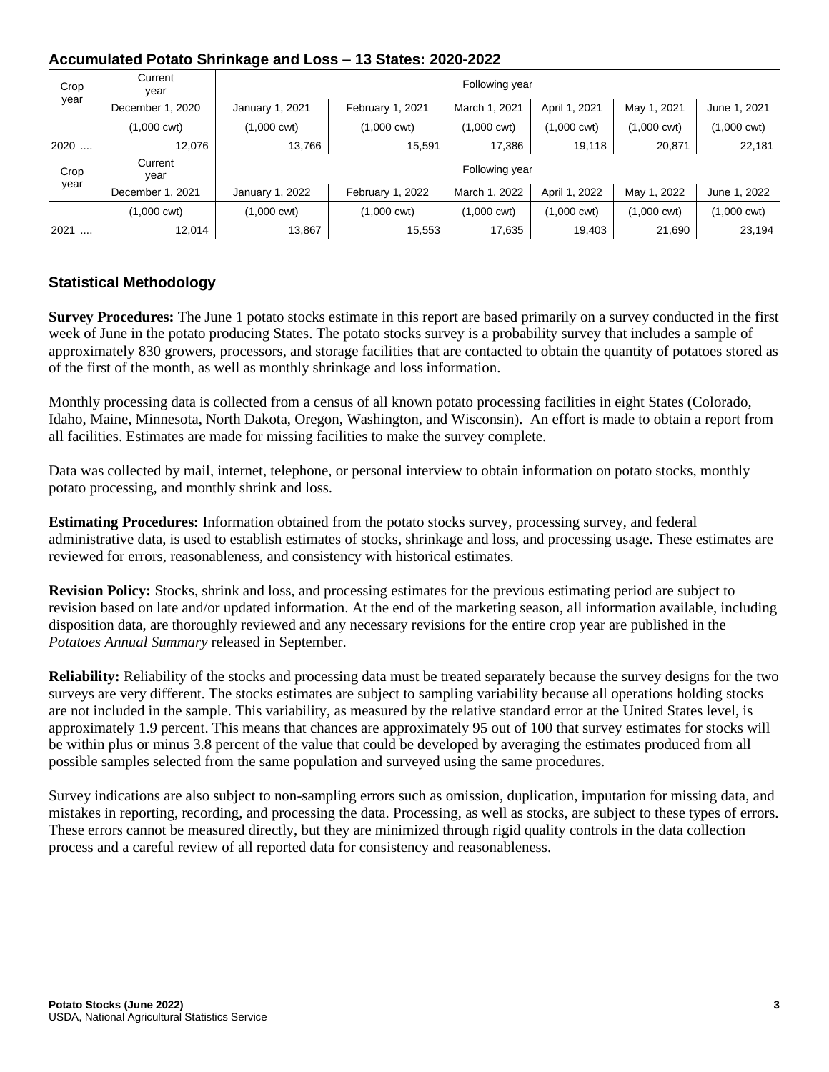| Crop | Current<br>year       | Following year        |                       |               |                       |             |              |  |  |
|------|-----------------------|-----------------------|-----------------------|---------------|-----------------------|-------------|--------------|--|--|
| year | December 1, 2020      | January 1, 2021       | February 1, 2021      | March 1, 2021 | April 1, 2021         | May 1, 2021 | June 1, 2021 |  |  |
|      | $(1,000 \text{ cwt})$ | $(1,000 \text{ cwt})$ | $(1,000 \text{ cwt})$ | (1,000 cwt)   | $(1,000 \text{ cwt})$ | (1,000 cwt) | (1,000 cwt)  |  |  |
| 2020 | 12.076                | 13,766                | 15,591                | 17,386        | 19,118                | 20,871      | 22,181       |  |  |
| Crop | Current<br>year       | Following year        |                       |               |                       |             |              |  |  |
| year | December 1, 2021      | January 1, 2022       | February 1, 2022      | March 1, 2022 | April 1, 2022         | May 1, 2022 | June 1, 2022 |  |  |
|      | $(1,000 \text{ cwt})$ | $(1,000 \text{ cwt})$ | $(1,000 \text{ cwt})$ | (1,000 cwt)   | $(1,000 \text{ cwt})$ | (1,000 cwt) | (1,000 cwt)  |  |  |
| 2021 | 12.014                | 13,867                | 15,553                | 17,635        | 19,403                | 21,690      | 23,194       |  |  |

# **Accumulated Potato Shrinkage and Loss – 13 States: 2020-2022**

### **Statistical Methodology**

**Survey Procedures:** The June 1 potato stocks estimate in this report are based primarily on a survey conducted in the first week of June in the potato producing States. The potato stocks survey is a probability survey that includes a sample of approximately 830 growers, processors, and storage facilities that are contacted to obtain the quantity of potatoes stored as of the first of the month, as well as monthly shrinkage and loss information.

Monthly processing data is collected from a census of all known potato processing facilities in eight States (Colorado, Idaho, Maine, Minnesota, North Dakota, Oregon, Washington, and Wisconsin). An effort is made to obtain a report from all facilities. Estimates are made for missing facilities to make the survey complete.

Data was collected by mail, internet, telephone, or personal interview to obtain information on potato stocks, monthly potato processing, and monthly shrink and loss.

**Estimating Procedures:** Information obtained from the potato stocks survey, processing survey, and federal administrative data, is used to establish estimates of stocks, shrinkage and loss, and processing usage. These estimates are reviewed for errors, reasonableness, and consistency with historical estimates.

**Revision Policy:** Stocks, shrink and loss, and processing estimates for the previous estimating period are subject to revision based on late and/or updated information. At the end of the marketing season, all information available, including disposition data, are thoroughly reviewed and any necessary revisions for the entire crop year are published in the *Potatoes Annual Summary* released in September.

**Reliability:** Reliability of the stocks and processing data must be treated separately because the survey designs for the two surveys are very different. The stocks estimates are subject to sampling variability because all operations holding stocks are not included in the sample. This variability, as measured by the relative standard error at the United States level, is approximately 1.9 percent. This means that chances are approximately 95 out of 100 that survey estimates for stocks will be within plus or minus 3.8 percent of the value that could be developed by averaging the estimates produced from all possible samples selected from the same population and surveyed using the same procedures.

Survey indications are also subject to non-sampling errors such as omission, duplication, imputation for missing data, and mistakes in reporting, recording, and processing the data. Processing, as well as stocks, are subject to these types of errors. These errors cannot be measured directly, but they are minimized through rigid quality controls in the data collection process and a careful review of all reported data for consistency and reasonableness.